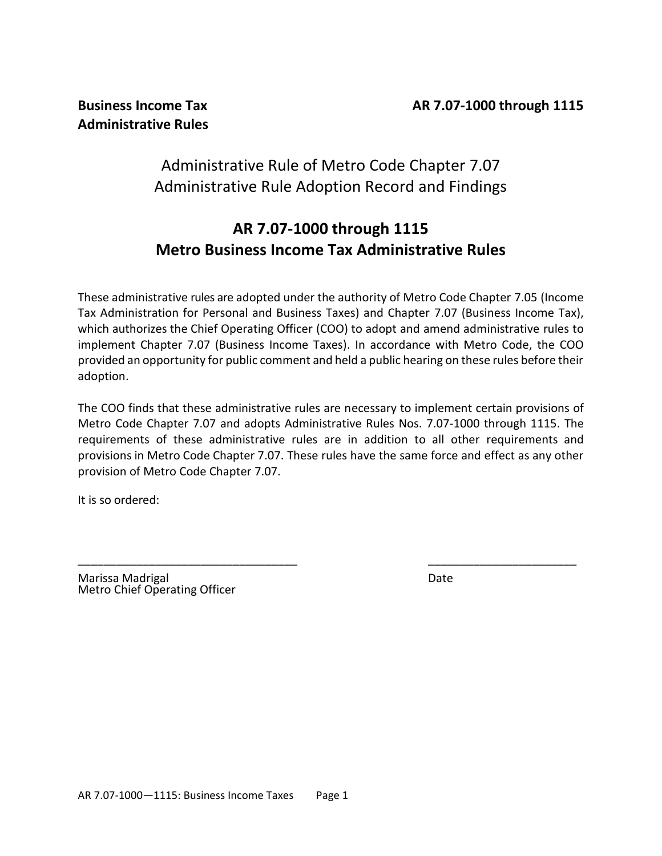# Administrative Rule of Metro Code Chapter 7.07 Administrative Rule Adoption Record and Findings

# **AR 7.07-1000 through 1115 Metro Business Income Tax Administrative Rules**

These administrative rules are adopted under the authority of Metro Code Chapter 7.05 (Income Tax Administration for Personal and Business Taxes) and Chapter 7.07 (Business Income Tax), which authorizes the Chief Operating Officer (COO) to adopt and amend administrative rules to implement Chapter 7.07 (Business Income Taxes). In accordance with Metro Code, the COO provided an opportunity for public comment and held a public hearing on these rules before their adoption.

The COO finds that these administrative rules are necessary to implement certain provisions of Metro Code Chapter 7.07 and adopts Administrative Rules Nos. 7.07-1000 through 1115. The requirements of these administrative rules are in addition to all other requirements and provisions in Metro Code Chapter 7.07. These rules have the same force and effect as any other provision of Metro Code Chapter 7.07.

\_\_\_\_\_\_\_\_\_\_\_\_\_\_\_\_\_\_\_\_\_\_\_\_\_\_\_\_\_\_\_\_\_\_ \_\_\_\_\_\_\_\_\_\_\_\_\_\_\_\_\_\_\_\_\_\_\_

It is so ordered:

Marissa Madrigal **Date** Metro Chief Operating Officer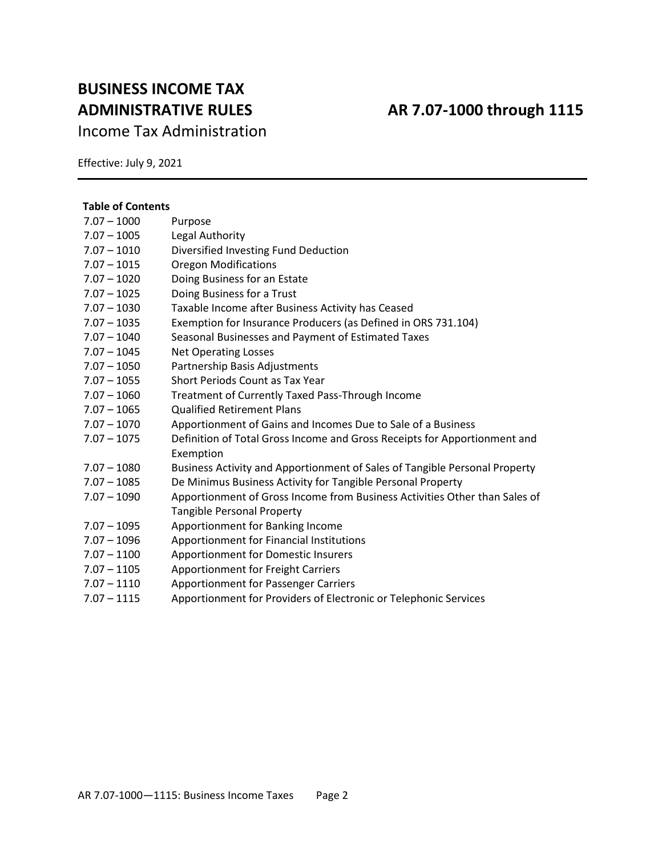# **BUSINESS INCOME TAX ADMINISTRATIVE RULES AR 7.07-1000 through 1115**

Income Tax Administration

Effective: July 9, 2021

### **Table of Contents**

| Purpose                                                                    |
|----------------------------------------------------------------------------|
| Legal Authority                                                            |
| Diversified Investing Fund Deduction                                       |
| <b>Oregon Modifications</b>                                                |
| Doing Business for an Estate                                               |
| Doing Business for a Trust                                                 |
| Taxable Income after Business Activity has Ceased                          |
| Exemption for Insurance Producers (as Defined in ORS 731.104)              |
| Seasonal Businesses and Payment of Estimated Taxes                         |
| <b>Net Operating Losses</b>                                                |
| Partnership Basis Adjustments                                              |
| Short Periods Count as Tax Year                                            |
| Treatment of Currently Taxed Pass-Through Income                           |
| <b>Qualified Retirement Plans</b>                                          |
| Apportionment of Gains and Incomes Due to Sale of a Business               |
| Definition of Total Gross Income and Gross Receipts for Apportionment and  |
| Exemption                                                                  |
| Business Activity and Apportionment of Sales of Tangible Personal Property |
| De Minimus Business Activity for Tangible Personal Property                |
| Apportionment of Gross Income from Business Activities Other than Sales of |
| <b>Tangible Personal Property</b>                                          |
| Apportionment for Banking Income                                           |
| Apportionment for Financial Institutions                                   |
| Apportionment for Domestic Insurers                                        |
| <b>Apportionment for Freight Carriers</b>                                  |
| Apportionment for Passenger Carriers                                       |
| Apportionment for Providers of Electronic or Telephonic Services           |
|                                                                            |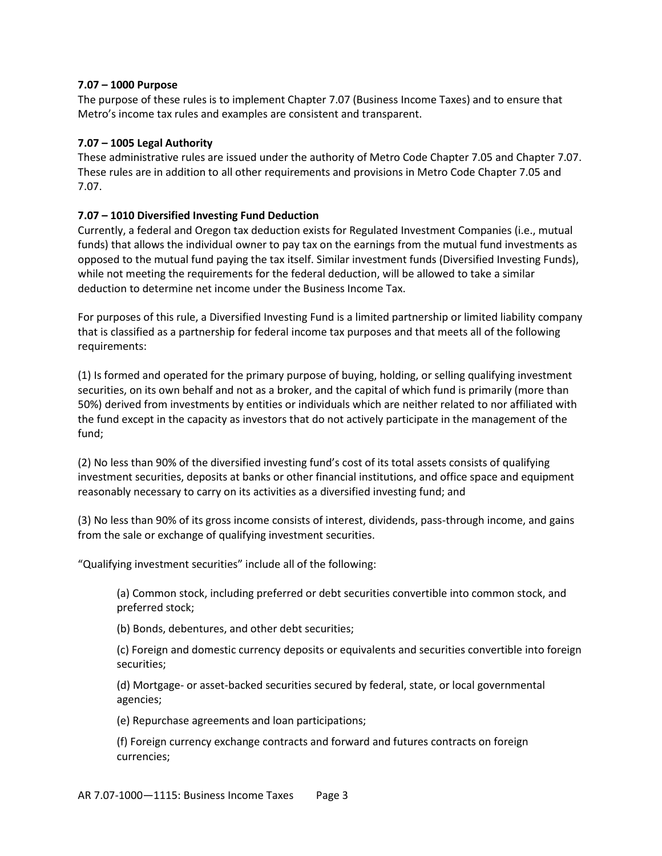## **7.07 – 1000 Purpose**

The purpose of these rules is to implement Chapter 7.07 (Business Income Taxes) and to ensure that Metro's income tax rules and examples are consistent and transparent.

## **7.07 – 1005 Legal Authority**

These administrative rules are issued under the authority of Metro Code Chapter 7.05 and Chapter 7.07. These rules are in addition to all other requirements and provisions in Metro Code Chapter 7.05 and 7.07.

# **7.07 – 1010 Diversified Investing Fund Deduction**

Currently, a federal and Oregon tax deduction exists for Regulated Investment Companies (i.e., mutual funds) that allows the individual owner to pay tax on the earnings from the mutual fund investments as opposed to the mutual fund paying the tax itself. Similar investment funds (Diversified Investing Funds), while not meeting the requirements for the federal deduction, will be allowed to take a similar deduction to determine net income under the Business Income Tax.

For purposes of this rule, a Diversified Investing Fund is a limited partnership or limited liability company that is classified as a partnership for federal income tax purposes and that meets all of the following requirements:

(1) Is formed and operated for the primary purpose of buying, holding, or selling qualifying investment securities, on its own behalf and not as a broker, and the capital of which fund is primarily (more than 50%) derived from investments by entities or individuals which are neither related to nor affiliated with the fund except in the capacity as investors that do not actively participate in the management of the fund;

(2) No less than 90% of the diversified investing fund's cost of its total assets consists of qualifying investment securities, deposits at banks or other financial institutions, and office space and equipment reasonably necessary to carry on its activities as a diversified investing fund; and

(3) No less than 90% of its gross income consists of interest, dividends, pass-through income, and gains from the sale or exchange of qualifying investment securities.

"Qualifying investment securities" include all of the following:

(a) Common stock, including preferred or debt securities convertible into common stock, and preferred stock;

(b) Bonds, debentures, and other debt securities;

(c) Foreign and domestic currency deposits or equivalents and securities convertible into foreign securities;

(d) Mortgage- or asset-backed securities secured by federal, state, or local governmental agencies;

(e) Repurchase agreements and loan participations;

(f) Foreign currency exchange contracts and forward and futures contracts on foreign currencies;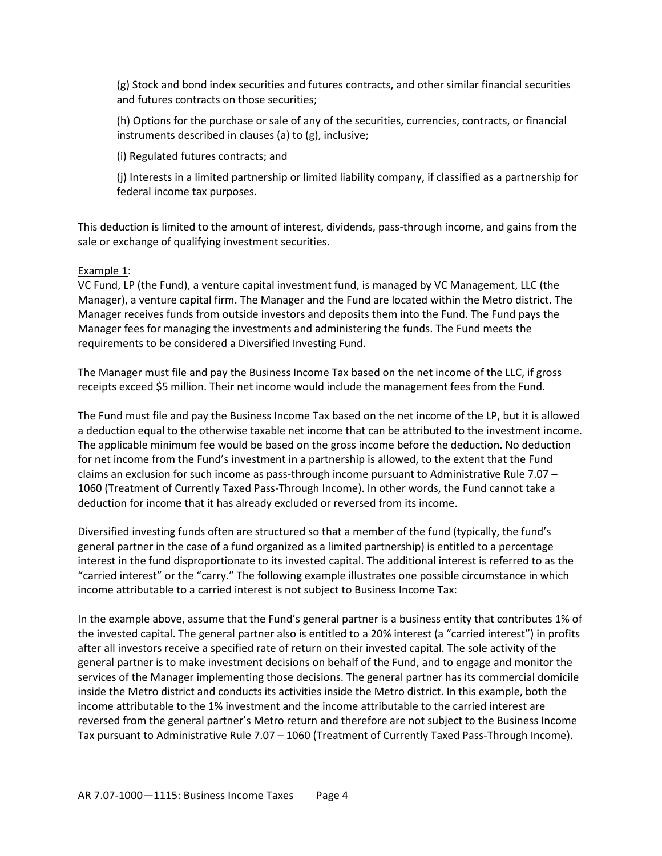(g) Stock and bond index securities and futures contracts, and other similar financial securities and futures contracts on those securities;

(h) Options for the purchase or sale of any of the securities, currencies, contracts, or financial instruments described in clauses (a) to (g), inclusive;

(i) Regulated futures contracts; and

(j) Interests in a limited partnership or limited liability company, if classified as a partnership for federal income tax purposes.

This deduction is limited to the amount of interest, dividends, pass-through income, and gains from the sale or exchange of qualifying investment securities.

### Example 1:

VC Fund, LP (the Fund), a venture capital investment fund, is managed by VC Management, LLC (the Manager), a venture capital firm. The Manager and the Fund are located within the Metro district. The Manager receives funds from outside investors and deposits them into the Fund. The Fund pays the Manager fees for managing the investments and administering the funds. The Fund meets the requirements to be considered a Diversified Investing Fund.

The Manager must file and pay the Business Income Tax based on the net income of the LLC, if gross receipts exceed \$5 million. Their net income would include the management fees from the Fund.

The Fund must file and pay the Business Income Tax based on the net income of the LP, but it is allowed a deduction equal to the otherwise taxable net income that can be attributed to the investment income. The applicable minimum fee would be based on the gross income before the deduction. No deduction for net income from the Fund's investment in a partnership is allowed, to the extent that the Fund claims an exclusion for such income as pass-through income pursuant to Administrative Rule 7.07 – 1060 (Treatment of Currently Taxed Pass-Through Income). In other words, the Fund cannot take a deduction for income that it has already excluded or reversed from its income.

Diversified investing funds often are structured so that a member of the fund (typically, the fund's general partner in the case of a fund organized as a limited partnership) is entitled to a percentage interest in the fund disproportionate to its invested capital. The additional interest is referred to as the "carried interest" or the "carry." The following example illustrates one possible circumstance in which income attributable to a carried interest is not subject to Business Income Tax:

In the example above, assume that the Fund's general partner is a business entity that contributes 1% of the invested capital. The general partner also is entitled to a 20% interest (a "carried interest") in profits after all investors receive a specified rate of return on their invested capital. The sole activity of the general partner is to make investment decisions on behalf of the Fund, and to engage and monitor the services of the Manager implementing those decisions. The general partner has its commercial domicile inside the Metro district and conducts its activities inside the Metro district. In this example, both the income attributable to the 1% investment and the income attributable to the carried interest are reversed from the general partner's Metro return and therefore are not subject to the Business Income Tax pursuant to Administrative Rule 7.07 – 1060 (Treatment of Currently Taxed Pass-Through Income).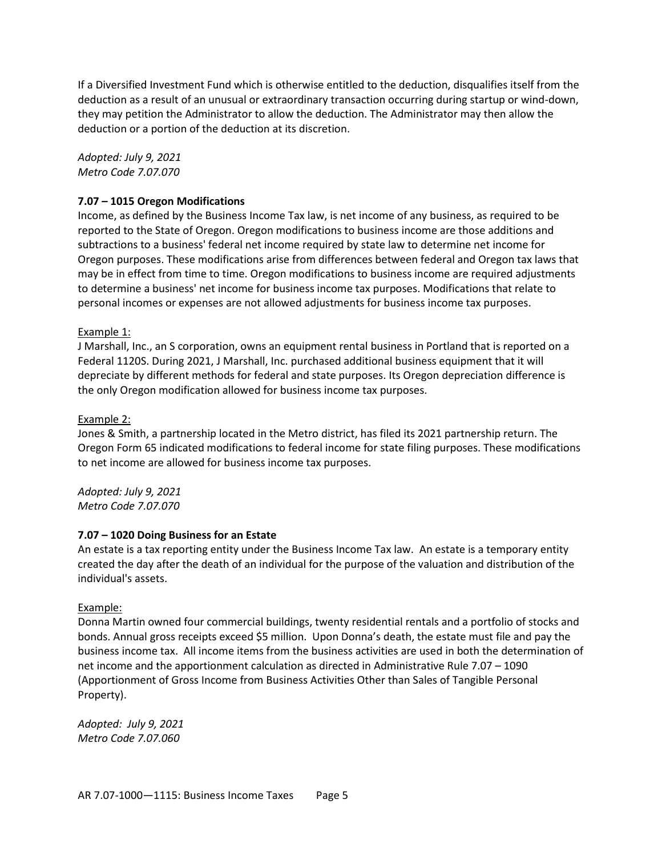If a Diversified Investment Fund which is otherwise entitled to the deduction, disqualifies itself from the deduction as a result of an unusual or extraordinary transaction occurring during startup or wind-down, they may petition the Administrator to allow the deduction. The Administrator may then allow the deduction or a portion of the deduction at its discretion.

*Adopted: July 9, 2021 Metro Code 7.07.070*

# **7.07 – 1015 Oregon Modifications**

Income, as defined by the Business Income Tax law, is net income of any business, as required to be reported to the State of Oregon. Oregon modifications to business income are those additions and subtractions to a business' federal net income required by state law to determine net income for Oregon purposes. These modifications arise from differences between federal and Oregon tax laws that may be in effect from time to time. Oregon modifications to business income are required adjustments to determine a business' net income for business income tax purposes. Modifications that relate to personal incomes or expenses are not allowed adjustments for business income tax purposes.

#### Example 1:

J Marshall, Inc., an S corporation, owns an equipment rental business in Portland that is reported on a Federal 1120S. During 2021, J Marshall, Inc. purchased additional business equipment that it will depreciate by different methods for federal and state purposes. Its Oregon depreciation difference is the only Oregon modification allowed for business income tax purposes.

#### Example 2:

Jones & Smith, a partnership located in the Metro district, has filed its 2021 partnership return. The Oregon Form 65 indicated modifications to federal income for state filing purposes. These modifications to net income are allowed for business income tax purposes.

*Adopted: July 9, 2021 Metro Code 7.07.070*

#### **7.07 – 1020 Doing Business for an Estate**

An estate is a tax reporting entity under the Business Income Tax law. An estate is a temporary entity created the day after the death of an individual for the purpose of the valuation and distribution of the individual's assets.

#### Example:

Donna Martin owned four commercial buildings, twenty residential rentals and a portfolio of stocks and bonds. Annual gross receipts exceed \$5 million. Upon Donna's death, the estate must file and pay the business income tax. All income items from the business activities are used in both the determination of net income and the apportionment calculation as directed in Administrative Rule 7.07 – 1090 (Apportionment of Gross Income from Business Activities Other than Sales of Tangible Personal Property).

*Adopted: July 9, 2021 Metro Code 7.07.060*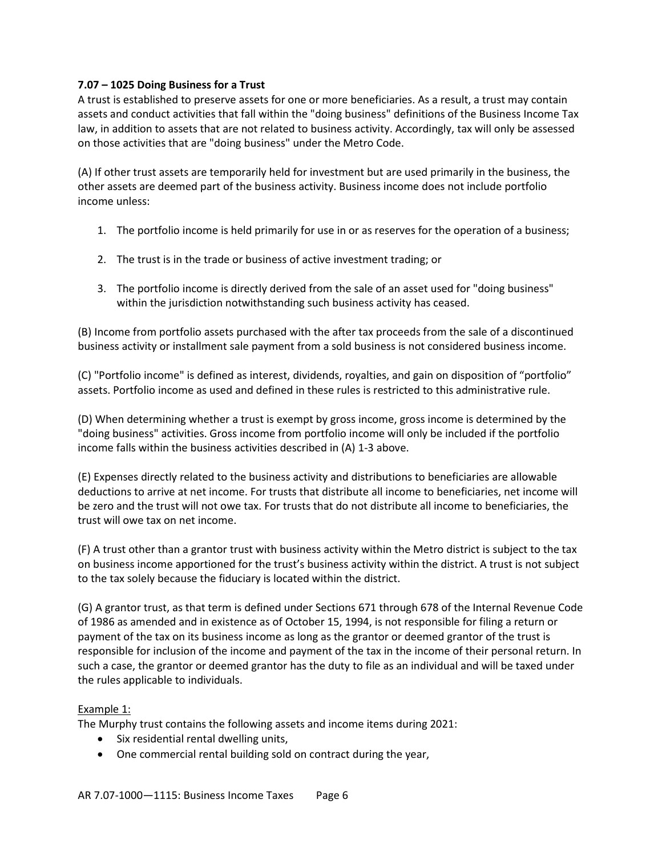# **7.07 – 1025 Doing Business for a Trust**

A trust is established to preserve assets for one or more beneficiaries. As a result, a trust may contain assets and conduct activities that fall within the "doing business" definitions of the Business Income Tax law, in addition to assets that are not related to business activity. Accordingly, tax will only be assessed on those activities that are "doing business" under the Metro Code.

(A) If other trust assets are temporarily held for investment but are used primarily in the business, the other assets are deemed part of the business activity. Business income does not include portfolio income unless:

- 1. The portfolio income is held primarily for use in or as reserves for the operation of a business;
- 2. The trust is in the trade or business of active investment trading; or
- 3. The portfolio income is directly derived from the sale of an asset used for "doing business" within the jurisdiction notwithstanding such business activity has ceased.

(B) Income from portfolio assets purchased with the after tax proceeds from the sale of a discontinued business activity or installment sale payment from a sold business is not considered business income.

(C) "Portfolio income" is defined as interest, dividends, royalties, and gain on disposition of "portfolio" assets. Portfolio income as used and defined in these rules is restricted to this administrative rule.

(D) When determining whether a trust is exempt by gross income, gross income is determined by the "doing business" activities. Gross income from portfolio income will only be included if the portfolio income falls within the business activities described in (A) 1-3 above.

(E) Expenses directly related to the business activity and distributions to beneficiaries are allowable deductions to arrive at net income. For trusts that distribute all income to beneficiaries, net income will be zero and the trust will not owe tax. For trusts that do not distribute all income to beneficiaries, the trust will owe tax on net income.

(F) A trust other than a grantor trust with business activity within the Metro district is subject to the tax on business income apportioned for the trust's business activity within the district. A trust is not subject to the tax solely because the fiduciary is located within the district.

(G) A grantor trust, as that term is defined under Sections 671 through 678 of the Internal Revenue Code of 1986 as amended and in existence as of October 15, 1994, is not responsible for filing a return or payment of the tax on its business income as long as the grantor or deemed grantor of the trust is responsible for inclusion of the income and payment of the tax in the income of their personal return. In such a case, the grantor or deemed grantor has the duty to file as an individual and will be taxed under the rules applicable to individuals.

# Example 1:

The Murphy trust contains the following assets and income items during 2021:

- Six residential rental dwelling units,
- One commercial rental building sold on contract during the year,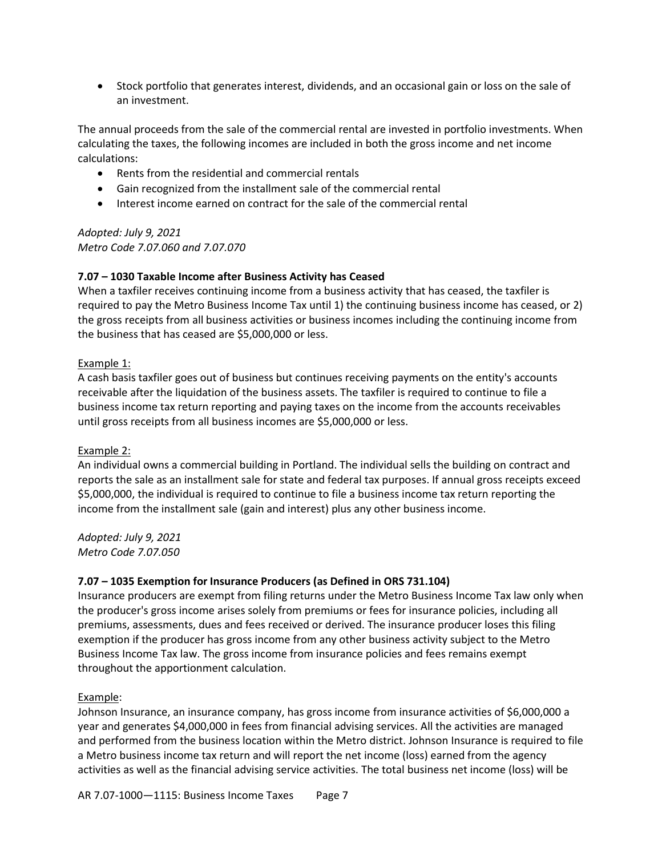• Stock portfolio that generates interest, dividends, and an occasional gain or loss on the sale of an investment.

The annual proceeds from the sale of the commercial rental are invested in portfolio investments. When calculating the taxes, the following incomes are included in both the gross income and net income calculations:

- Rents from the residential and commercial rentals
- Gain recognized from the installment sale of the commercial rental
- Interest income earned on contract for the sale of the commercial rental

*Adopted: July 9, 2021 Metro Code 7.07.060 and 7.07.070*

# **7.07 – 1030 Taxable Income after Business Activity has Ceased**

When a taxfiler receives continuing income from a business activity that has ceased, the taxfiler is required to pay the Metro Business Income Tax until 1) the continuing business income has ceased, or 2) the gross receipts from all business activities or business incomes including the continuing income from the business that has ceased are \$5,000,000 or less.

### Example 1:

A cash basis taxfiler goes out of business but continues receiving payments on the entity's accounts receivable after the liquidation of the business assets. The taxfiler is required to continue to file a business income tax return reporting and paying taxes on the income from the accounts receivables until gross receipts from all business incomes are \$5,000,000 or less.

#### Example 2:

An individual owns a commercial building in Portland. The individual sells the building on contract and reports the sale as an installment sale for state and federal tax purposes. If annual gross receipts exceed \$5,000,000, the individual is required to continue to file a business income tax return reporting the income from the installment sale (gain and interest) plus any other business income.

*Adopted: July 9, 2021 Metro Code 7.07.050*

# **7.07 – 1035 Exemption for Insurance Producers (as Defined in ORS 731.104)**

Insurance producers are exempt from filing returns under the Metro Business Income Tax law only when the producer's gross income arises solely from premiums or fees for insurance policies, including all premiums, assessments, dues and fees received or derived. The insurance producer loses this filing exemption if the producer has gross income from any other business activity subject to the Metro Business Income Tax law. The gross income from insurance policies and fees remains exempt throughout the apportionment calculation.

# Example:

Johnson Insurance, an insurance company, has gross income from insurance activities of \$6,000,000 a year and generates \$4,000,000 in fees from financial advising services. All the activities are managed and performed from the business location within the Metro district. Johnson Insurance is required to file a Metro business income tax return and will report the net income (loss) earned from the agency activities as well as the financial advising service activities. The total business net income (loss) will be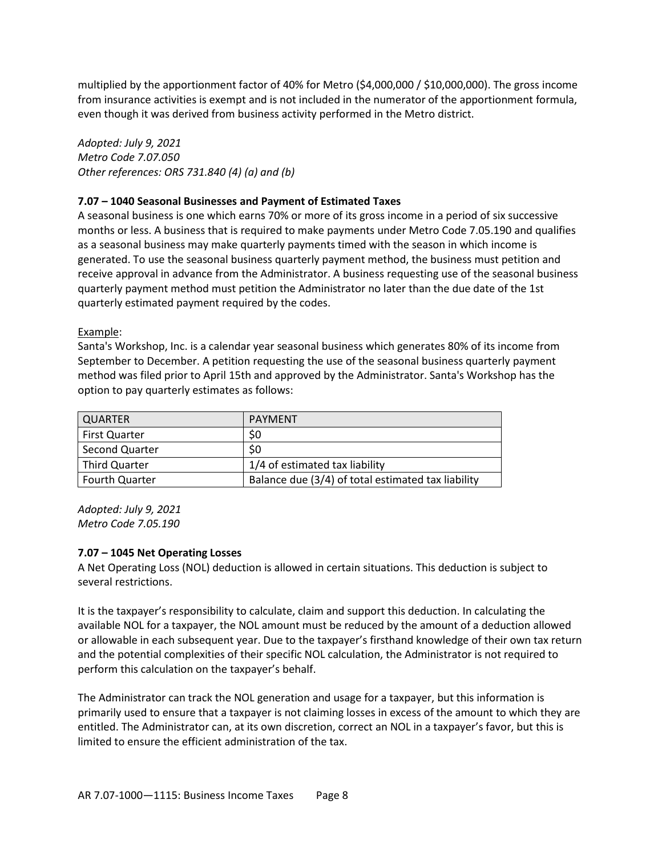multiplied by the apportionment factor of 40% for Metro (\$4,000,000 / \$10,000,000). The gross income from insurance activities is exempt and is not included in the numerator of the apportionment formula, even though it was derived from business activity performed in the Metro district.

*Adopted: July 9, 2021 Metro Code 7.07.050 Other references: ORS 731.840 (4) (a) and (b)*

# **7.07 – 1040 Seasonal Businesses and Payment of Estimated Taxes**

A seasonal business is one which earns 70% or more of its gross income in a period of six successive months or less. A business that is required to make payments under Metro Code 7.05.190 and qualifies as a seasonal business may make quarterly payments timed with the season in which income is generated. To use the seasonal business quarterly payment method, the business must petition and receive approval in advance from the Administrator. A business requesting use of the seasonal business quarterly payment method must petition the Administrator no later than the due date of the 1st quarterly estimated payment required by the codes.

# Example:

Santa's Workshop, Inc. is a calendar year seasonal business which generates 80% of its income from September to December. A petition requesting the use of the seasonal business quarterly payment method was filed prior to April 15th and approved by the Administrator. Santa's Workshop has the option to pay quarterly estimates as follows:

| QUARTER               | PAYMENT                                            |
|-----------------------|----------------------------------------------------|
| <b>First Quarter</b>  | \$0                                                |
| Second Quarter        | \$0                                                |
| <b>Third Quarter</b>  | 1/4 of estimated tax liability                     |
| <b>Fourth Quarter</b> | Balance due (3/4) of total estimated tax liability |

*Adopted: July 9, 2021 Metro Code 7.05.190*

# **7.07 – 1045 Net Operating Losses**

A Net Operating Loss (NOL) deduction is allowed in certain situations. This deduction is subject to several restrictions.

It is the taxpayer's responsibility to calculate, claim and support this deduction. In calculating the available NOL for a taxpayer, the NOL amount must be reduced by the amount of a deduction allowed or allowable in each subsequent year. Due to the taxpayer's firsthand knowledge of their own tax return and the potential complexities of their specific NOL calculation, the Administrator is not required to perform this calculation on the taxpayer's behalf.

The Administrator can track the NOL generation and usage for a taxpayer, but this information is primarily used to ensure that a taxpayer is not claiming losses in excess of the amount to which they are entitled. The Administrator can, at its own discretion, correct an NOL in a taxpayer's favor, but this is limited to ensure the efficient administration of the tax.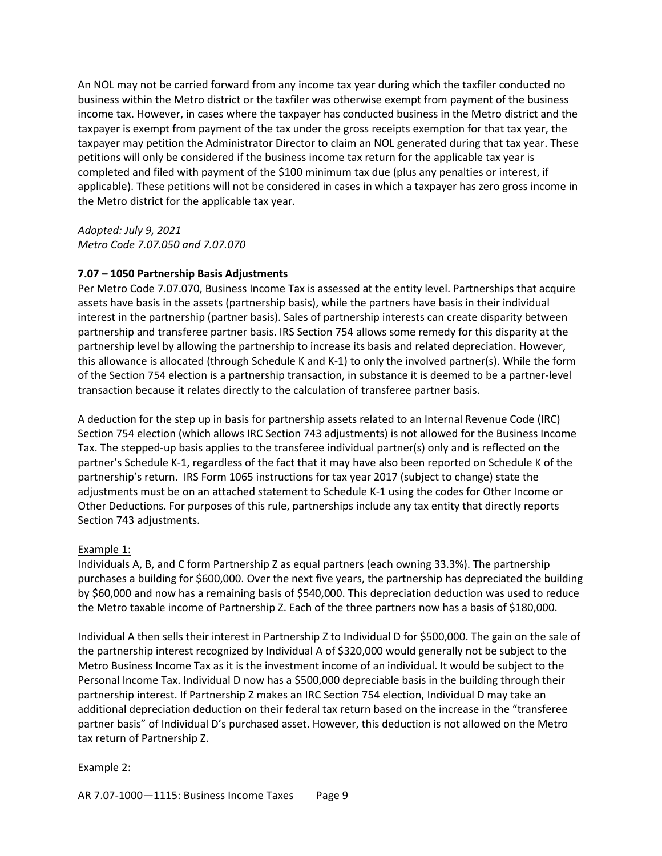An NOL may not be carried forward from any income tax year during which the taxfiler conducted no business within the Metro district or the taxfiler was otherwise exempt from payment of the business income tax. However, in cases where the taxpayer has conducted business in the Metro district and the taxpayer is exempt from payment of the tax under the gross receipts exemption for that tax year, the taxpayer may petition the Administrator Director to claim an NOL generated during that tax year. These petitions will only be considered if the business income tax return for the applicable tax year is completed and filed with payment of the \$100 minimum tax due (plus any penalties or interest, if applicable). These petitions will not be considered in cases in which a taxpayer has zero gross income in the Metro district for the applicable tax year.

*Adopted: July 9, 2021 Metro Code 7.07.050 and 7.07.070*

# **7.07 – 1050 Partnership Basis Adjustments**

Per Metro Code 7.07.070, Business Income Tax is assessed at the entity level. Partnerships that acquire assets have basis in the assets (partnership basis), while the partners have basis in their individual interest in the partnership (partner basis). Sales of partnership interests can create disparity between partnership and transferee partner basis. IRS Section 754 allows some remedy for this disparity at the partnership level by allowing the partnership to increase its basis and related depreciation. However, this allowance is allocated (through Schedule K and K-1) to only the involved partner(s). While the form of the Section 754 election is a partnership transaction, in substance it is deemed to be a partner-level transaction because it relates directly to the calculation of transferee partner basis.

A deduction for the step up in basis for partnership assets related to an Internal Revenue Code (IRC) Section 754 election (which allows IRC Section 743 adjustments) is not allowed for the Business Income Tax. The stepped-up basis applies to the transferee individual partner(s) only and is reflected on the partner's Schedule K-1, regardless of the fact that it may have also been reported on Schedule K of the partnership's return. IRS Form 1065 instructions for tax year 2017 (subject to change) state the adjustments must be on an attached statement to Schedule K-1 using the codes for Other Income or Other Deductions. For purposes of this rule, partnerships include any tax entity that directly reports Section 743 adjustments.

# Example 1:

Individuals A, B, and C form Partnership Z as equal partners (each owning 33.3%). The partnership purchases a building for \$600,000. Over the next five years, the partnership has depreciated the building by \$60,000 and now has a remaining basis of \$540,000. This depreciation deduction was used to reduce the Metro taxable income of Partnership Z. Each of the three partners now has a basis of \$180,000.

Individual A then sells their interest in Partnership Z to Individual D for \$500,000. The gain on the sale of the partnership interest recognized by Individual A of \$320,000 would generally not be subject to the Metro Business Income Tax as it is the investment income of an individual. It would be subject to the Personal Income Tax. Individual D now has a \$500,000 depreciable basis in the building through their partnership interest. If Partnership Z makes an IRC Section 754 election, Individual D may take an additional depreciation deduction on their federal tax return based on the increase in the "transferee partner basis" of Individual D's purchased asset. However, this deduction is not allowed on the Metro tax return of Partnership Z.

# Example 2: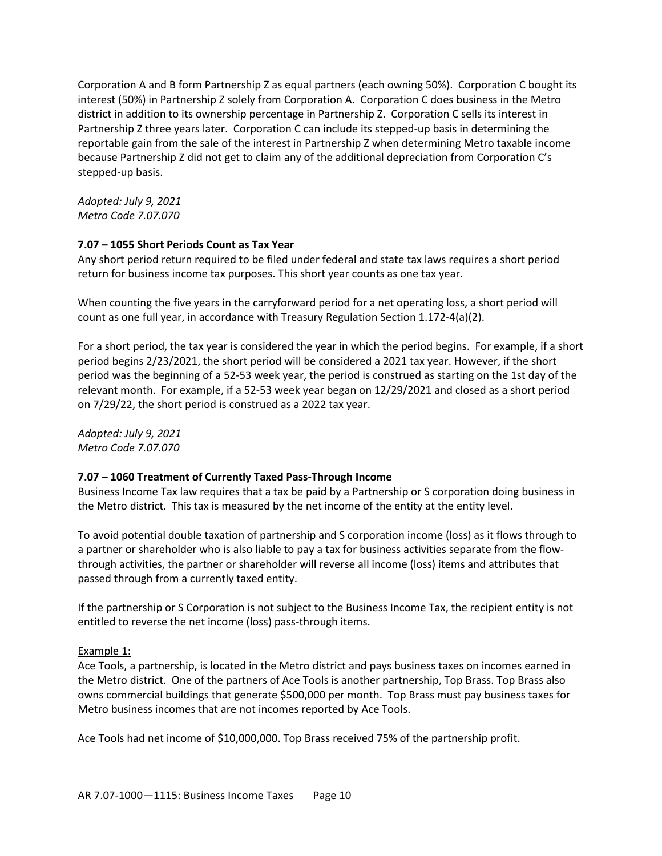Corporation A and B form Partnership Z as equal partners (each owning 50%). Corporation C bought its interest (50%) in Partnership Z solely from Corporation A. Corporation C does business in the Metro district in addition to its ownership percentage in Partnership Z. Corporation C sells its interest in Partnership Z three years later. Corporation C can include its stepped-up basis in determining the reportable gain from the sale of the interest in Partnership Z when determining Metro taxable income because Partnership Z did not get to claim any of the additional depreciation from Corporation C's stepped-up basis.

*Adopted: July 9, 2021 Metro Code 7.07.070*

# **7.07 – 1055 Short Periods Count as Tax Year**

Any short period return required to be filed under federal and state tax laws requires a short period return for business income tax purposes. This short year counts as one tax year.

When counting the five years in the carryforward period for a net operating loss, a short period will count as one full year, in accordance with Treasury Regulation Section 1.172-4(a)(2).

For a short period, the tax year is considered the year in which the period begins. For example, if a short period begins 2/23/2021, the short period will be considered a 2021 tax year. However, if the short period was the beginning of a 52-53 week year, the period is construed as starting on the 1st day of the relevant month. For example, if a 52-53 week year began on 12/29/2021 and closed as a short period on 7/29/22, the short period is construed as a 2022 tax year.

*Adopted: July 9, 2021 Metro Code 7.07.070*

# **7.07 – 1060 Treatment of Currently Taxed Pass-Through Income**

Business Income Tax law requires that a tax be paid by a Partnership or S corporation doing business in the Metro district. This tax is measured by the net income of the entity at the entity level.

To avoid potential double taxation of partnership and S corporation income (loss) as it flows through to a partner or shareholder who is also liable to pay a tax for business activities separate from the flowthrough activities, the partner or shareholder will reverse all income (loss) items and attributes that passed through from a currently taxed entity.

If the partnership or S Corporation is not subject to the Business Income Tax, the recipient entity is not entitled to reverse the net income (loss) pass-through items.

# Example 1:

Ace Tools, a partnership, is located in the Metro district and pays business taxes on incomes earned in the Metro district. One of the partners of Ace Tools is another partnership, Top Brass. Top Brass also owns commercial buildings that generate \$500,000 per month. Top Brass must pay business taxes for Metro business incomes that are not incomes reported by Ace Tools.

Ace Tools had net income of \$10,000,000. Top Brass received 75% of the partnership profit.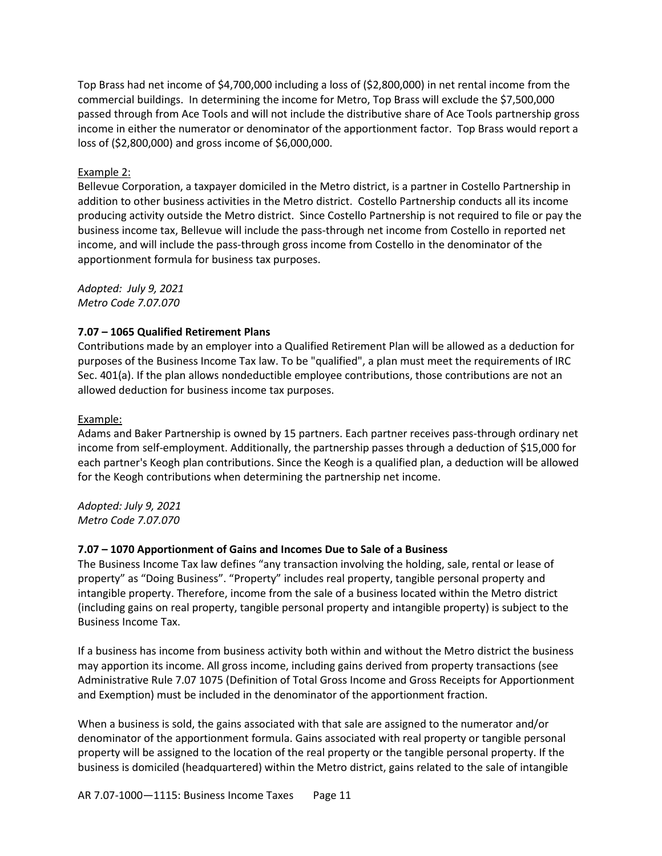Top Brass had net income of \$4,700,000 including a loss of (\$2,800,000) in net rental income from the commercial buildings. In determining the income for Metro, Top Brass will exclude the \$7,500,000 passed through from Ace Tools and will not include the distributive share of Ace Tools partnership gross income in either the numerator or denominator of the apportionment factor. Top Brass would report a loss of (\$2,800,000) and gross income of \$6,000,000.

# Example 2:

Bellevue Corporation, a taxpayer domiciled in the Metro district, is a partner in Costello Partnership in addition to other business activities in the Metro district. Costello Partnership conducts all its income producing activity outside the Metro district. Since Costello Partnership is not required to file or pay the business income tax, Bellevue will include the pass-through net income from Costello in reported net income, and will include the pass-through gross income from Costello in the denominator of the apportionment formula for business tax purposes.

*Adopted: July 9, 2021 Metro Code 7.07.070*

### **7.07 – 1065 Qualified Retirement Plans**

Contributions made by an employer into a Qualified Retirement Plan will be allowed as a deduction for purposes of the Business Income Tax law. To be "qualified", a plan must meet the requirements of IRC Sec. 401(a). If the plan allows nondeductible employee contributions, those contributions are not an allowed deduction for business income tax purposes.

#### Example:

Adams and Baker Partnership is owned by 15 partners. Each partner receives pass-through ordinary net income from self-employment. Additionally, the partnership passes through a deduction of \$15,000 for each partner's Keogh plan contributions. Since the Keogh is a qualified plan, a deduction will be allowed for the Keogh contributions when determining the partnership net income.

*Adopted: July 9, 2021 Metro Code 7.07.070*

#### **7.07 – 1070 Apportionment of Gains and Incomes Due to Sale of a Business**

The Business Income Tax law defines "any transaction involving the holding, sale, rental or lease of property" as "Doing Business". "Property" includes real property, tangible personal property and intangible property. Therefore, income from the sale of a business located within the Metro district (including gains on real property, tangible personal property and intangible property) is subject to the Business Income Tax.

If a business has income from business activity both within and without the Metro district the business may apportion its income. All gross income, including gains derived from property transactions (see Administrative Rule 7.07 1075 (Definition of Total Gross Income and Gross Receipts for Apportionment and Exemption) must be included in the denominator of the apportionment fraction.

When a business is sold, the gains associated with that sale are assigned to the numerator and/or denominator of the apportionment formula. Gains associated with real property or tangible personal property will be assigned to the location of the real property or the tangible personal property. If the business is domiciled (headquartered) within the Metro district, gains related to the sale of intangible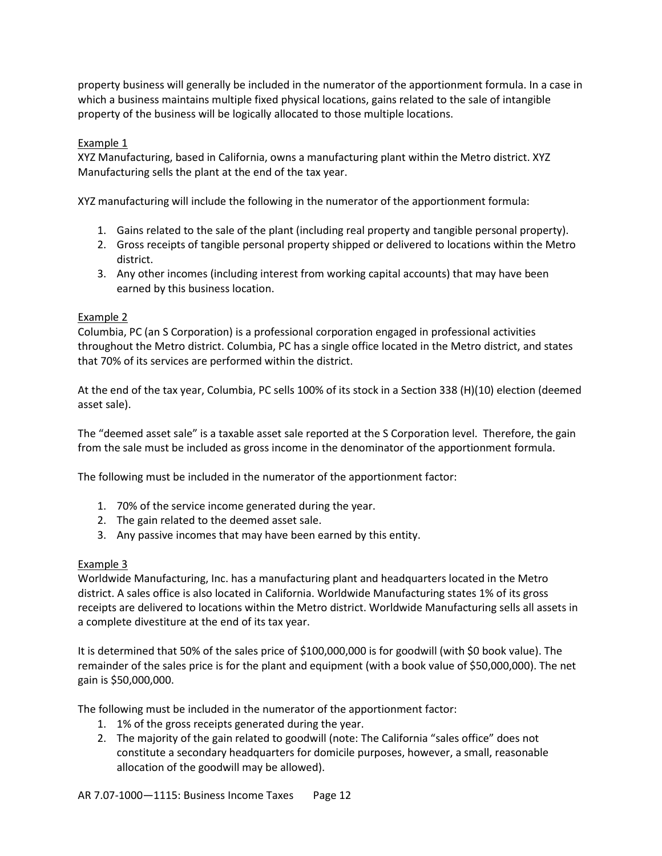property business will generally be included in the numerator of the apportionment formula. In a case in which a business maintains multiple fixed physical locations, gains related to the sale of intangible property of the business will be logically allocated to those multiple locations.

# Example 1

XYZ Manufacturing, based in California, owns a manufacturing plant within the Metro district. XYZ Manufacturing sells the plant at the end of the tax year.

XYZ manufacturing will include the following in the numerator of the apportionment formula:

- 1. Gains related to the sale of the plant (including real property and tangible personal property).
- 2. Gross receipts of tangible personal property shipped or delivered to locations within the Metro district.
- 3. Any other incomes (including interest from working capital accounts) that may have been earned by this business location.

# Example 2

Columbia, PC (an S Corporation) is a professional corporation engaged in professional activities throughout the Metro district. Columbia, PC has a single office located in the Metro district, and states that 70% of its services are performed within the district.

At the end of the tax year, Columbia, PC sells 100% of its stock in a Section 338 (H)(10) election (deemed asset sale).

The "deemed asset sale" is a taxable asset sale reported at the S Corporation level. Therefore, the gain from the sale must be included as gross income in the denominator of the apportionment formula.

The following must be included in the numerator of the apportionment factor:

- 1. 70% of the service income generated during the year.
- 2. The gain related to the deemed asset sale.
- 3. Any passive incomes that may have been earned by this entity.

# Example 3

Worldwide Manufacturing, Inc. has a manufacturing plant and headquarters located in the Metro district. A sales office is also located in California. Worldwide Manufacturing states 1% of its gross receipts are delivered to locations within the Metro district. Worldwide Manufacturing sells all assets in a complete divestiture at the end of its tax year.

It is determined that 50% of the sales price of \$100,000,000 is for goodwill (with \$0 book value). The remainder of the sales price is for the plant and equipment (with a book value of \$50,000,000). The net gain is \$50,000,000.

The following must be included in the numerator of the apportionment factor:

- 1. 1% of the gross receipts generated during the year.
- 2. The majority of the gain related to goodwill (note: The California "sales office" does not constitute a secondary headquarters for domicile purposes, however, a small, reasonable allocation of the goodwill may be allowed).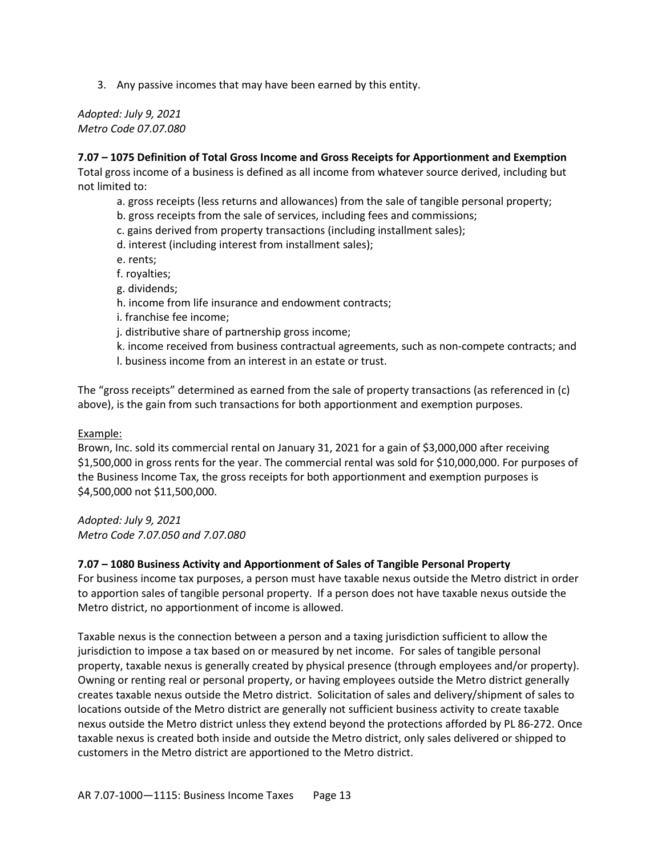3. Any passive incomes that may have been earned by this entity.

*Adopted: July 9, 2021 Metro Code 07.07.080*

## **7.07 – 1075 Definition of Total Gross Income and Gross Receipts for Apportionment and Exemption**

Total gross income of a business is defined as all income from whatever source derived, including but not limited to:

- a. gross receipts (less returns and allowances) from the sale of tangible personal property;
- b. gross receipts from the sale of services, including fees and commissions;
- c. gains derived from property transactions (including installment sales);
- d. interest (including interest from installment sales);
- e. rents;
- f. royalties;
- g. dividends;
- h. income from life insurance and endowment contracts;
- i. franchise fee income;
- j. distributive share of partnership gross income;
- k. income received from business contractual agreements, such as non-compete contracts; and
- l. business income from an interest in an estate or trust.

The "gross receipts" determined as earned from the sale of property transactions (as referenced in (c) above), is the gain from such transactions for both apportionment and exemption purposes.

#### Example:

Brown, Inc. sold its commercial rental on January 31, 2021 for a gain of \$3,000,000 after receiving \$1,500,000 in gross rents for the year. The commercial rental was sold for \$10,000,000. For purposes of the Business Income Tax, the gross receipts for both apportionment and exemption purposes is \$4,500,000 not \$11,500,000.

*Adopted: July 9, 2021 Metro Code 7.07.050 and 7.07.080*

#### **7.07 – 1080 Business Activity and Apportionment of Sales of Tangible Personal Property**

For business income tax purposes, a person must have taxable nexus outside the Metro district in order to apportion sales of tangible personal property. If a person does not have taxable nexus outside the Metro district, no apportionment of income is allowed.

Taxable nexus is the connection between a person and a taxing jurisdiction sufficient to allow the jurisdiction to impose a tax based on or measured by net income. For sales of tangible personal property, taxable nexus is generally created by physical presence (through employees and/or property). Owning or renting real or personal property, or having employees outside the Metro district generally creates taxable nexus outside the Metro district. Solicitation of sales and delivery/shipment of sales to locations outside of the Metro district are generally not sufficient business activity to create taxable nexus outside the Metro district unless they extend beyond the protections afforded by PL 86-272. Once taxable nexus is created both inside and outside the Metro district, only sales delivered or shipped to customers in the Metro district are apportioned to the Metro district.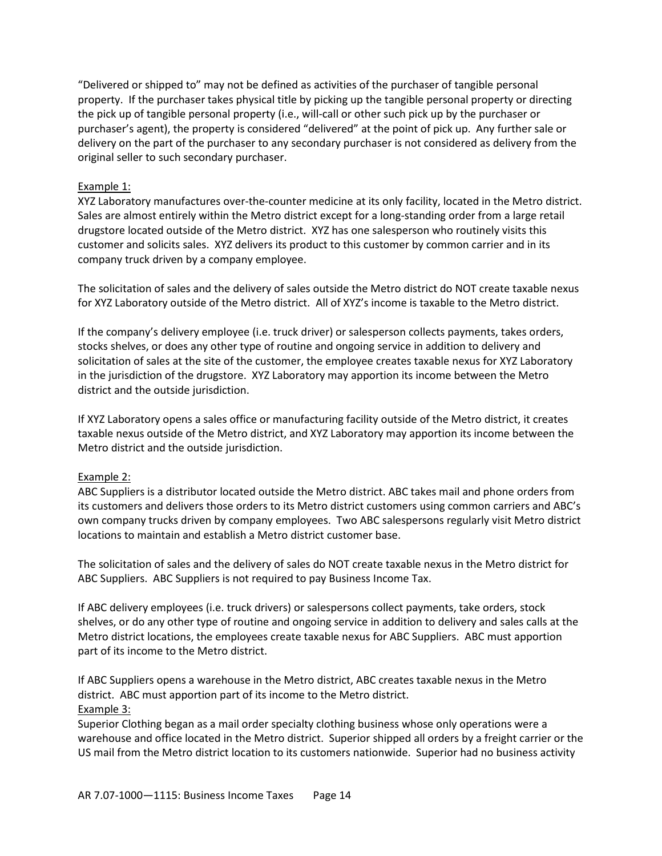"Delivered or shipped to" may not be defined as activities of the purchaser of tangible personal property. If the purchaser takes physical title by picking up the tangible personal property or directing the pick up of tangible personal property (i.e., will-call or other such pick up by the purchaser or purchaser's agent), the property is considered "delivered" at the point of pick up. Any further sale or delivery on the part of the purchaser to any secondary purchaser is not considered as delivery from the original seller to such secondary purchaser.

# Example 1:

XYZ Laboratory manufactures over-the-counter medicine at its only facility, located in the Metro district. Sales are almost entirely within the Metro district except for a long-standing order from a large retail drugstore located outside of the Metro district. XYZ has one salesperson who routinely visits this customer and solicits sales. XYZ delivers its product to this customer by common carrier and in its company truck driven by a company employee.

The solicitation of sales and the delivery of sales outside the Metro district do NOT create taxable nexus for XYZ Laboratory outside of the Metro district. All of XYZ's income is taxable to the Metro district.

If the company's delivery employee (i.e. truck driver) or salesperson collects payments, takes orders, stocks shelves, or does any other type of routine and ongoing service in addition to delivery and solicitation of sales at the site of the customer, the employee creates taxable nexus for XYZ Laboratory in the jurisdiction of the drugstore. XYZ Laboratory may apportion its income between the Metro district and the outside jurisdiction.

If XYZ Laboratory opens a sales office or manufacturing facility outside of the Metro district, it creates taxable nexus outside of the Metro district, and XYZ Laboratory may apportion its income between the Metro district and the outside jurisdiction.

#### Example 2:

ABC Suppliers is a distributor located outside the Metro district. ABC takes mail and phone orders from its customers and delivers those orders to its Metro district customers using common carriers and ABC's own company trucks driven by company employees. Two ABC salespersons regularly visit Metro district locations to maintain and establish a Metro district customer base.

The solicitation of sales and the delivery of sales do NOT create taxable nexus in the Metro district for ABC Suppliers. ABC Suppliers is not required to pay Business Income Tax.

If ABC delivery employees (i.e. truck drivers) or salespersons collect payments, take orders, stock shelves, or do any other type of routine and ongoing service in addition to delivery and sales calls at the Metro district locations, the employees create taxable nexus for ABC Suppliers. ABC must apportion part of its income to the Metro district.

If ABC Suppliers opens a warehouse in the Metro district, ABC creates taxable nexus in the Metro district. ABC must apportion part of its income to the Metro district. Example 3:

Superior Clothing began as a mail order specialty clothing business whose only operations were a warehouse and office located in the Metro district. Superior shipped all orders by a freight carrier or the US mail from the Metro district location to its customers nationwide. Superior had no business activity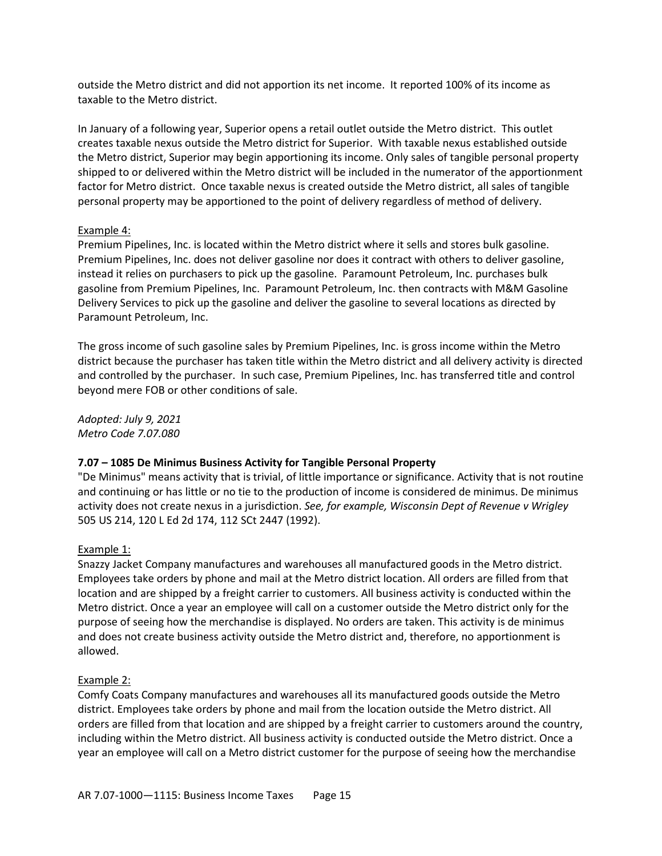outside the Metro district and did not apportion its net income. It reported 100% of its income as taxable to the Metro district.

In January of a following year, Superior opens a retail outlet outside the Metro district. This outlet creates taxable nexus outside the Metro district for Superior. With taxable nexus established outside the Metro district, Superior may begin apportioning its income. Only sales of tangible personal property shipped to or delivered within the Metro district will be included in the numerator of the apportionment factor for Metro district. Once taxable nexus is created outside the Metro district, all sales of tangible personal property may be apportioned to the point of delivery regardless of method of delivery.

### Example 4:

Premium Pipelines, Inc. is located within the Metro district where it sells and stores bulk gasoline. Premium Pipelines, Inc. does not deliver gasoline nor does it contract with others to deliver gasoline, instead it relies on purchasers to pick up the gasoline. Paramount Petroleum, Inc. purchases bulk gasoline from Premium Pipelines, Inc. Paramount Petroleum, Inc. then contracts with M&M Gasoline Delivery Services to pick up the gasoline and deliver the gasoline to several locations as directed by Paramount Petroleum, Inc.

The gross income of such gasoline sales by Premium Pipelines, Inc. is gross income within the Metro district because the purchaser has taken title within the Metro district and all delivery activity is directed and controlled by the purchaser. In such case, Premium Pipelines, Inc. has transferred title and control beyond mere FOB or other conditions of sale.

*Adopted: July 9, 2021 Metro Code 7.07.080*

#### **7.07 – 1085 De Minimus Business Activity for Tangible Personal Property**

"De Minimus" means activity that is trivial, of little importance or significance. Activity that is not routine and continuing or has little or no tie to the production of income is considered de minimus. De minimus activity does not create nexus in a jurisdiction. *See, for example, Wisconsin Dept of Revenue v Wrigley* 505 US 214, 120 L Ed 2d 174, 112 SCt 2447 (1992).

#### Example 1:

Snazzy Jacket Company manufactures and warehouses all manufactured goods in the Metro district. Employees take orders by phone and mail at the Metro district location. All orders are filled from that location and are shipped by a freight carrier to customers. All business activity is conducted within the Metro district. Once a year an employee will call on a customer outside the Metro district only for the purpose of seeing how the merchandise is displayed. No orders are taken. This activity is de minimus and does not create business activity outside the Metro district and, therefore, no apportionment is allowed.

# Example 2:

Comfy Coats Company manufactures and warehouses all its manufactured goods outside the Metro district. Employees take orders by phone and mail from the location outside the Metro district. All orders are filled from that location and are shipped by a freight carrier to customers around the country, including within the Metro district. All business activity is conducted outside the Metro district. Once a year an employee will call on a Metro district customer for the purpose of seeing how the merchandise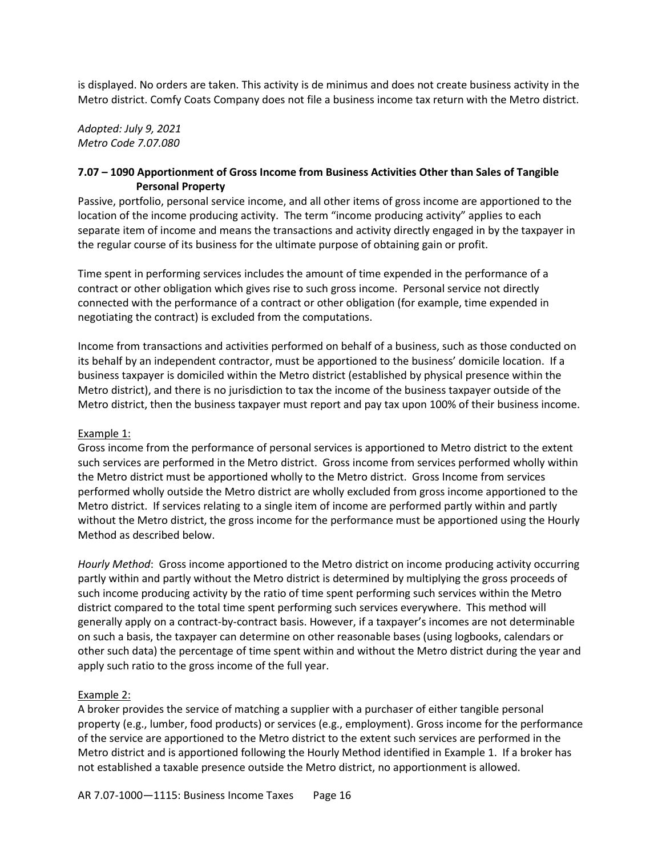is displayed. No orders are taken. This activity is de minimus and does not create business activity in the Metro district. Comfy Coats Company does not file a business income tax return with the Metro district.

*Adopted: July 9, 2021 Metro Code 7.07.080*

# **7.07 – 1090 Apportionment of Gross Income from Business Activities Other than Sales of Tangible Personal Property**

Passive, portfolio, personal service income, and all other items of gross income are apportioned to the location of the income producing activity. The term "income producing activity" applies to each separate item of income and means the transactions and activity directly engaged in by the taxpayer in the regular course of its business for the ultimate purpose of obtaining gain or profit.

Time spent in performing services includes the amount of time expended in the performance of a contract or other obligation which gives rise to such gross income. Personal service not directly connected with the performance of a contract or other obligation (for example, time expended in negotiating the contract) is excluded from the computations.

Income from transactions and activities performed on behalf of a business, such as those conducted on its behalf by an independent contractor, must be apportioned to the business' domicile location. If a business taxpayer is domiciled within the Metro district (established by physical presence within the Metro district), and there is no jurisdiction to tax the income of the business taxpayer outside of the Metro district, then the business taxpayer must report and pay tax upon 100% of their business income.

# Example 1:

Gross income from the performance of personal services is apportioned to Metro district to the extent such services are performed in the Metro district. Gross income from services performed wholly within the Metro district must be apportioned wholly to the Metro district. Gross Income from services performed wholly outside the Metro district are wholly excluded from gross income apportioned to the Metro district. If services relating to a single item of income are performed partly within and partly without the Metro district, the gross income for the performance must be apportioned using the Hourly Method as described below.

*Hourly Method*: Gross income apportioned to the Metro district on income producing activity occurring partly within and partly without the Metro district is determined by multiplying the gross proceeds of such income producing activity by the ratio of time spent performing such services within the Metro district compared to the total time spent performing such services everywhere. This method will generally apply on a contract-by-contract basis. However, if a taxpayer's incomes are not determinable on such a basis, the taxpayer can determine on other reasonable bases (using logbooks, calendars or other such data) the percentage of time spent within and without the Metro district during the year and apply such ratio to the gross income of the full year.

# Example 2:

A broker provides the service of matching a supplier with a purchaser of either tangible personal property (e.g., lumber, food products) or services (e.g., employment). Gross income for the performance of the service are apportioned to the Metro district to the extent such services are performed in the Metro district and is apportioned following the Hourly Method identified in Example 1. If a broker has not established a taxable presence outside the Metro district, no apportionment is allowed.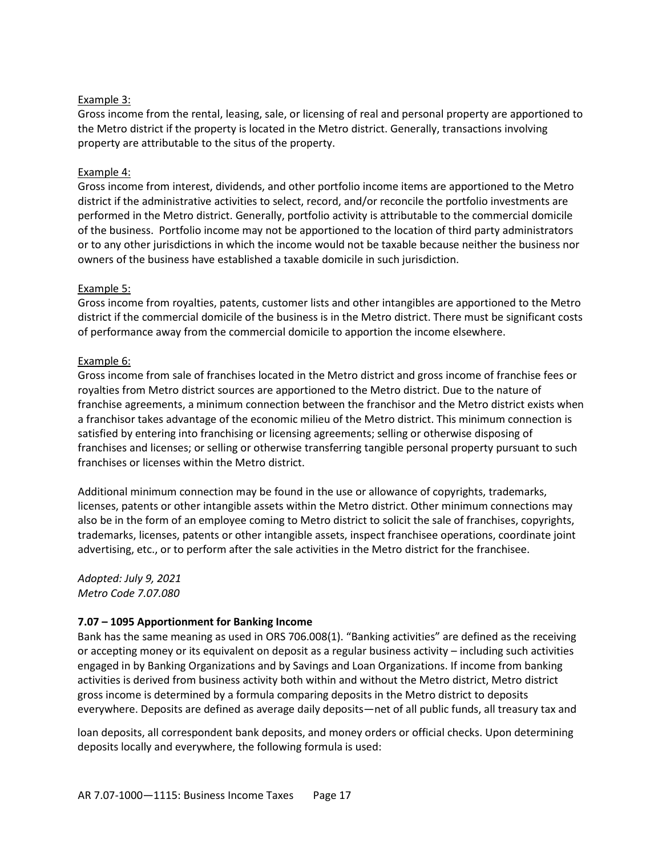# Example 3:

Gross income from the rental, leasing, sale, or licensing of real and personal property are apportioned to the Metro district if the property is located in the Metro district. Generally, transactions involving property are attributable to the situs of the property.

# Example 4:

Gross income from interest, dividends, and other portfolio income items are apportioned to the Metro district if the administrative activities to select, record, and/or reconcile the portfolio investments are performed in the Metro district. Generally, portfolio activity is attributable to the commercial domicile of the business. Portfolio income may not be apportioned to the location of third party administrators or to any other jurisdictions in which the income would not be taxable because neither the business nor owners of the business have established a taxable domicile in such jurisdiction.

# Example 5:

Gross income from royalties, patents, customer lists and other intangibles are apportioned to the Metro district if the commercial domicile of the business is in the Metro district. There must be significant costs of performance away from the commercial domicile to apportion the income elsewhere.

# Example 6:

Gross income from sale of franchises located in the Metro district and gross income of franchise fees or royalties from Metro district sources are apportioned to the Metro district. Due to the nature of franchise agreements, a minimum connection between the franchisor and the Metro district exists when a franchisor takes advantage of the economic milieu of the Metro district. This minimum connection is satisfied by entering into franchising or licensing agreements; selling or otherwise disposing of franchises and licenses; or selling or otherwise transferring tangible personal property pursuant to such franchises or licenses within the Metro district.

Additional minimum connection may be found in the use or allowance of copyrights, trademarks, licenses, patents or other intangible assets within the Metro district. Other minimum connections may also be in the form of an employee coming to Metro district to solicit the sale of franchises, copyrights, trademarks, licenses, patents or other intangible assets, inspect franchisee operations, coordinate joint advertising, etc., or to perform after the sale activities in the Metro district for the franchisee.

*Adopted: July 9, 2021 Metro Code 7.07.080*

# **7.07 – 1095 Apportionment for Banking Income**

Bank has the same meaning as used in ORS 706.008(1). "Banking activities" are defined as the receiving or accepting money or its equivalent on deposit as a regular business activity – including such activities engaged in by Banking Organizations and by Savings and Loan Organizations. If income from banking activities is derived from business activity both within and without the Metro district, Metro district gross income is determined by a formula comparing deposits in the Metro district to deposits everywhere. Deposits are defined as average daily deposits—net of all public funds, all treasury tax and

loan deposits, all correspondent bank deposits, and money orders or official checks. Upon determining deposits locally and everywhere, the following formula is used: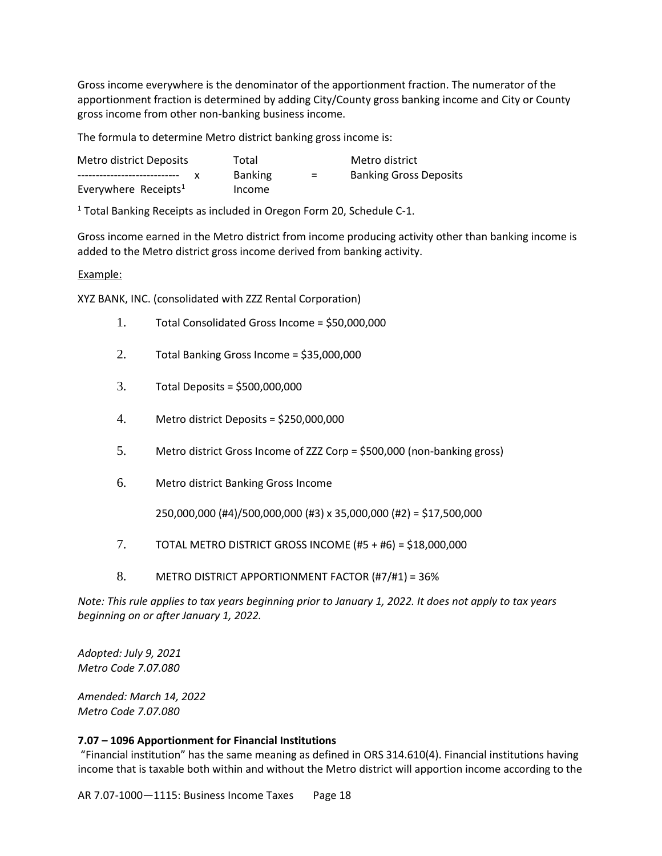Gross income everywhere is the denominator of the apportionment fraction. The numerator of the apportionment fraction is determined by adding City/County gross banking income and City or County gross income from other non-banking business income.

The formula to determine Metro district banking gross income is:

| Metro district Deposits          | Total          |     | Metro district                |
|----------------------------------|----------------|-----|-------------------------------|
| ------------------------------   | <b>Banking</b> | $=$ | <b>Banking Gross Deposits</b> |
| Everywhere Receipts <sup>1</sup> | Income         |     |                               |

 $1$  Total Banking Receipts as included in Oregon Form 20, Schedule C-1.

Gross income earned in the Metro district from income producing activity other than banking income is added to the Metro district gross income derived from banking activity.

#### Example:

XYZ BANK, INC. (consolidated with ZZZ Rental Corporation)

- 1. Total Consolidated Gross Income = \$50,000,000
- 2. Total Banking Gross Income = \$35,000,000
- 3. Total Deposits = \$500,000,000
- 4. Metro district Deposits = \$250,000,000
- 5. Metro district Gross Income of ZZZ Corp = \$500,000 (non-banking gross)
- 6. Metro district Banking Gross Income

250,000,000 (#4)/500,000,000 (#3) x 35,000,000 (#2) = \$17,500,000

- 7. TOTAL METRO DISTRICT GROSS INCOME (#5 + #6) = \$18,000,000
- 8. METRO DISTRICT APPORTIONMENT FACTOR (#7/#1) = 36%

*Note: This rule applies to tax years beginning prior to January 1, 2022. It does not apply to tax years beginning on or after January 1, 2022.* 

*Adopted: July 9, 2021 Metro Code 7.07.080*

*Amended: March 14, 2022 Metro Code 7.07.080*

#### **7.07 – 1096 Apportionment for Financial Institutions**

"Financial institution" has the same meaning as defined in ORS 314.610(4). Financial institutions having income that is taxable both within and without the Metro district will apportion income according to the

AR 7.07-1000-1115: Business Income Taxes Page 18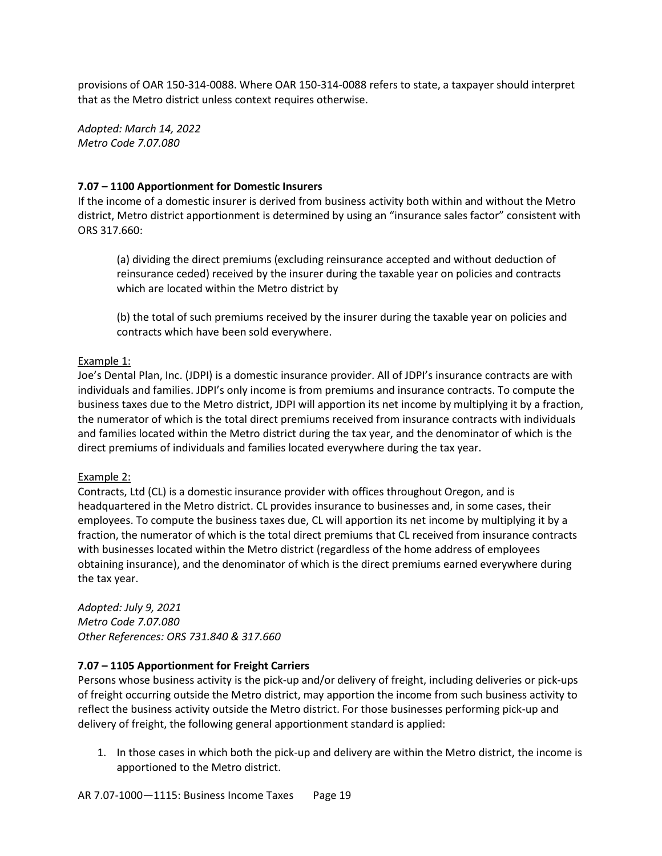provisions of OAR 150-314-0088. Where OAR 150-314-0088 refers to state, a taxpayer should interpret that as the Metro district unless context requires otherwise.

*Adopted: March 14, 2022 Metro Code 7.07.080*

## **7.07 – 1100 Apportionment for Domestic Insurers**

If the income of a domestic insurer is derived from business activity both within and without the Metro district, Metro district apportionment is determined by using an "insurance sales factor" consistent with ORS 317.660:

(a) dividing the direct premiums (excluding reinsurance accepted and without deduction of reinsurance ceded) received by the insurer during the taxable year on policies and contracts which are located within the Metro district by

(b) the total of such premiums received by the insurer during the taxable year on policies and contracts which have been sold everywhere.

#### Example 1:

Joe's Dental Plan, Inc. (JDPI) is a domestic insurance provider. All of JDPI's insurance contracts are with individuals and families. JDPI's only income is from premiums and insurance contracts. To compute the business taxes due to the Metro district, JDPI will apportion its net income by multiplying it by a fraction, the numerator of which is the total direct premiums received from insurance contracts with individuals and families located within the Metro district during the tax year, and the denominator of which is the direct premiums of individuals and families located everywhere during the tax year.

#### Example 2:

Contracts, Ltd (CL) is a domestic insurance provider with offices throughout Oregon, and is headquartered in the Metro district. CL provides insurance to businesses and, in some cases, their employees. To compute the business taxes due, CL will apportion its net income by multiplying it by a fraction, the numerator of which is the total direct premiums that CL received from insurance contracts with businesses located within the Metro district (regardless of the home address of employees obtaining insurance), and the denominator of which is the direct premiums earned everywhere during the tax year.

*Adopted: July 9, 2021 Metro Code 7.07.080 Other References: ORS 731.840 & 317.660*

#### **7.07 – 1105 Apportionment for Freight Carriers**

Persons whose business activity is the pick-up and/or delivery of freight, including deliveries or pick-ups of freight occurring outside the Metro district, may apportion the income from such business activity to reflect the business activity outside the Metro district. For those businesses performing pick-up and delivery of freight, the following general apportionment standard is applied:

1. In those cases in which both the pick-up and delivery are within the Metro district, the income is apportioned to the Metro district.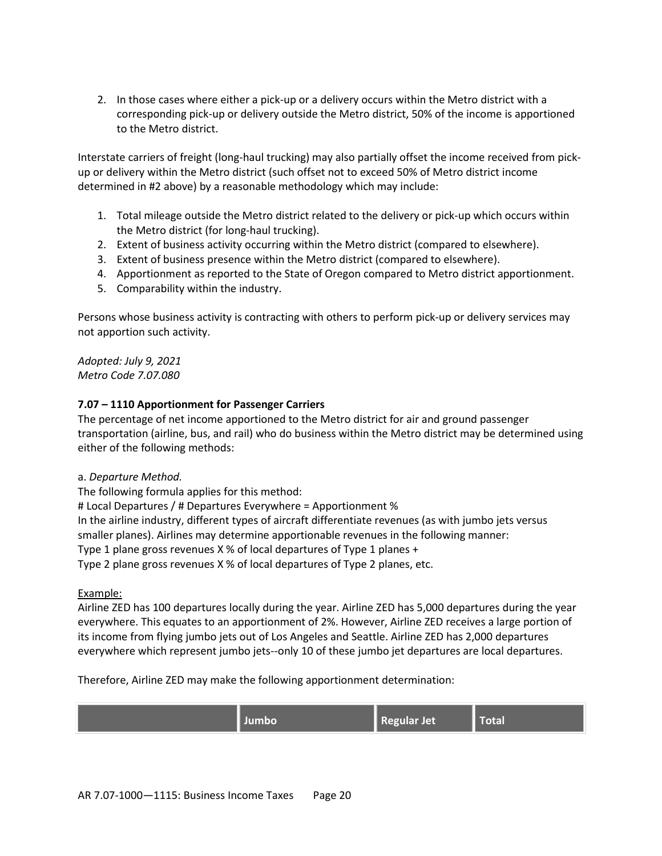2. In those cases where either a pick-up or a delivery occurs within the Metro district with a corresponding pick-up or delivery outside the Metro district, 50% of the income is apportioned to the Metro district.

Interstate carriers of freight (long-haul trucking) may also partially offset the income received from pickup or delivery within the Metro district (such offset not to exceed 50% of Metro district income determined in #2 above) by a reasonable methodology which may include:

- 1. Total mileage outside the Metro district related to the delivery or pick-up which occurs within the Metro district (for long-haul trucking).
- 2. Extent of business activity occurring within the Metro district (compared to elsewhere).
- 3. Extent of business presence within the Metro district (compared to elsewhere).
- 4. Apportionment as reported to the State of Oregon compared to Metro district apportionment.
- 5. Comparability within the industry.

Persons whose business activity is contracting with others to perform pick-up or delivery services may not apportion such activity.

*Adopted: July 9, 2021 Metro Code 7.07.080*

# **7.07 – 1110 Apportionment for Passenger Carriers**

The percentage of net income apportioned to the Metro district for air and ground passenger transportation (airline, bus, and rail) who do business within the Metro district may be determined using either of the following methods:

# a. *Departure Method.*

The following formula applies for this method:

# Local Departures / # Departures Everywhere = Apportionment % In the airline industry, different types of aircraft differentiate revenues (as with jumbo jets versus smaller planes). Airlines may determine apportionable revenues in the following manner: Type 1 plane gross revenues X % of local departures of Type 1 planes + Type 2 plane gross revenues X % of local departures of Type 2 planes, etc.

# Example:

Airline ZED has 100 departures locally during the year. Airline ZED has 5,000 departures during the year everywhere. This equates to an apportionment of 2%. However, Airline ZED receives a large portion of its income from flying jumbo jets out of Los Angeles and Seattle. Airline ZED has 2,000 departures everywhere which represent jumbo jets--only 10 of these jumbo jet departures are local departures.

Therefore, Airline ZED may make the following apportionment determination:

| Regular Jet<br>Total<br>umbo |  |
|------------------------------|--|
|------------------------------|--|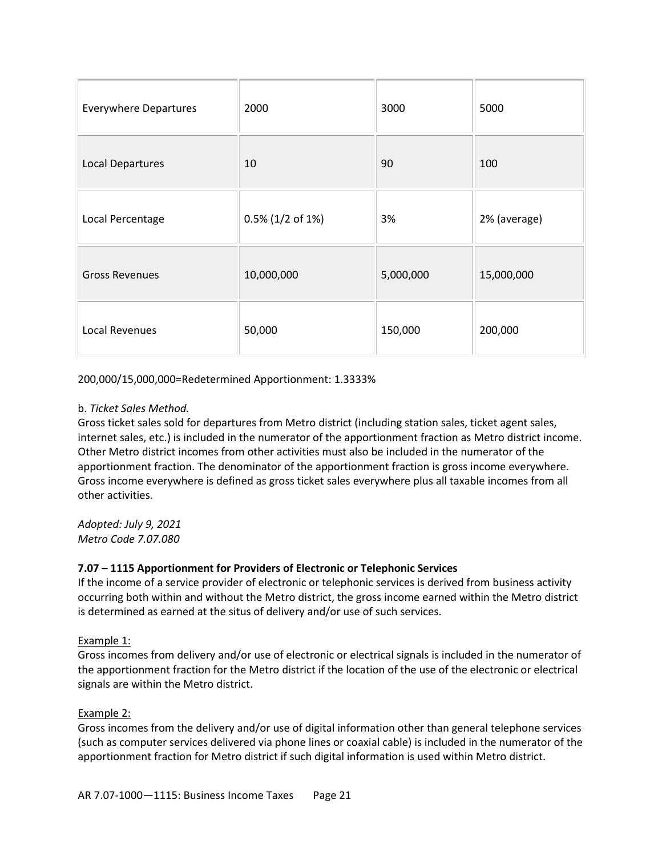| <b>Everywhere Departures</b> | 2000                | 3000      | 5000         |
|------------------------------|---------------------|-----------|--------------|
| <b>Local Departures</b>      | 10                  | 90        | 100          |
| Local Percentage             | $0.5\%$ (1/2 of 1%) | 3%        | 2% (average) |
| <b>Gross Revenues</b>        | 10,000,000          | 5,000,000 | 15,000,000   |
| Local Revenues               | 50,000              | 150,000   | 200,000      |

200,000/15,000,000=Redetermined Apportionment: 1.3333%

# b. *Ticket Sales Method.*

Gross ticket sales sold for departures from Metro district (including station sales, ticket agent sales, internet sales, etc.) is included in the numerator of the apportionment fraction as Metro district income. Other Metro district incomes from other activities must also be included in the numerator of the apportionment fraction. The denominator of the apportionment fraction is gross income everywhere. Gross income everywhere is defined as gross ticket sales everywhere plus all taxable incomes from all other activities.

*Adopted: July 9, 2021 Metro Code 7.07.080*

# **7.07 – 1115 Apportionment for Providers of Electronic or Telephonic Services**

If the income of a service provider of electronic or telephonic services is derived from business activity occurring both within and without the Metro district, the gross income earned within the Metro district is determined as earned at the situs of delivery and/or use of such services.

# Example 1:

Gross incomes from delivery and/or use of electronic or electrical signals is included in the numerator of the apportionment fraction for the Metro district if the location of the use of the electronic or electrical signals are within the Metro district.

#### Example 2:

Gross incomes from the delivery and/or use of digital information other than general telephone services (such as computer services delivered via phone lines or coaxial cable) is included in the numerator of the apportionment fraction for Metro district if such digital information is used within Metro district.